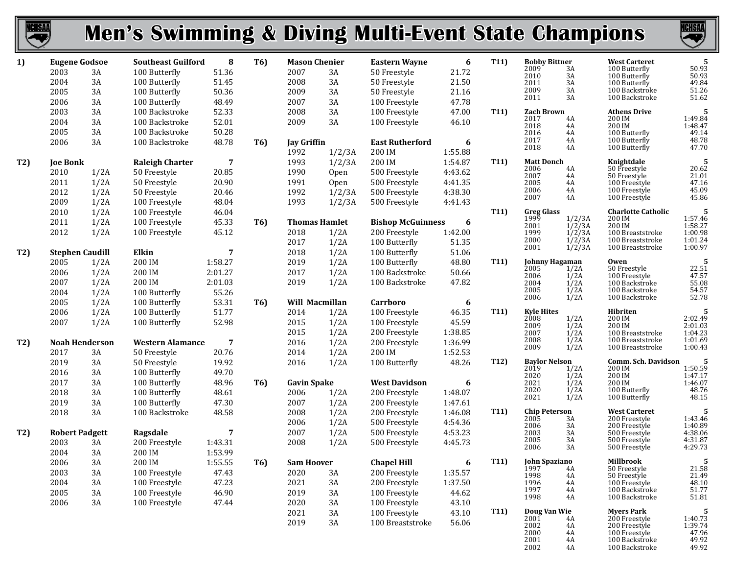| <b>NCHSAA</b> |                        |            | <b>Men's Swimming &amp; Diving Multi-Event State Champions</b> |         |                  |                      |                      |                          |         |                   |                              |                       |                                      | <b>NCHSAA</b><br>$\blacktriangledown$                                         |
|---------------|------------------------|------------|----------------------------------------------------------------|---------|------------------|----------------------|----------------------|--------------------------|---------|-------------------|------------------------------|-----------------------|--------------------------------------|-------------------------------------------------------------------------------|
| 1)            | <b>Eugene Godsoe</b>   |            | <b>Southeast Guilford</b>                                      | 8       | <b>T6)</b>       | <b>Mason Chenier</b> |                      | <b>Eastern Wayne</b>     | 6       | T11)              | <b>Bobby Bittner</b>         |                       | <b>West Carteret</b>                 | 5                                                                             |
|               | 2003                   | 3A         | 100 Butterfly                                                  | 51.36   |                  | 2007                 | 3A                   | 50 Freestyle             | 21.72   |                   | 2009<br>2010                 | 3A<br>3A              | 100 Butterfly<br>100 Butterfly       | 50.93<br>50.93                                                                |
|               | 2004                   | 3A         | 100 Butterfly                                                  | 51.45   |                  | 2008                 | 3A                   | 50 Freestyle             | 21.50   |                   | 2011                         | 3A                    | 100 Butterfly                        | 49.84                                                                         |
|               | 2005                   | 3A         | 100 Butterfly                                                  | 50.36   |                  | 2009                 | 3A                   | 50 Freestyle             | 21.16   |                   | 2009<br>2011                 | 3A<br>3A              | 100 Backstroke<br>100 Backstroke     | 51.26<br>51.62                                                                |
|               | 2006                   | 3A         | 100 Butterfly                                                  | 48.49   |                  | 2007                 | 3A                   | 100 Freestyle            | 47.78   |                   |                              |                       |                                      |                                                                               |
|               | 2003                   | 3A         | 100 Backstroke                                                 | 52.33   |                  | 2008                 | $3A$                 | 100 Freestyle            | 47.00   | T11)              | <b>Zach Brown</b>            |                       | <b>Athens Drive</b>                  | 5                                                                             |
|               | 2004                   | 3A         | 100 Backstroke                                                 | 52.01   |                  | 2009                 | 3A                   | 100 Freestyle            | 46.10   |                   | 2017<br>2018                 | 4A<br>4A              | 200 IM<br>200 IM                     | 1:49.84<br>1:48.47                                                            |
|               | 2005                   | 3A         | 100 Backstroke                                                 | 50.28   |                  |                      |                      |                          |         |                   | 2016                         | 4A                    | 100 Butterfly                        | 49.14                                                                         |
|               | 2006                   | 3A         | 100 Backstroke                                                 | 48.78   | T <sub>6</sub> ) | <b>Jay Griffin</b>   |                      | <b>East Rutherford</b>   | 6       |                   | 2017<br>2018                 | 4A                    | 100 Butterfly                        | 48.78                                                                         |
|               |                        |            |                                                                |         |                  | 1992                 | 1/2/3A               | 200 IM                   | 1:55.88 |                   |                              | 4A                    | 100 Butterfly                        | 47.70                                                                         |
| T2)           | <b>Joe Bonk</b>        |            | <b>Raleigh Charter</b>                                         | 7       |                  | 1993                 | 1/2/3A               | 200 IM                   | 1:54.87 | T <sub>11</sub>   | <b>Matt Donch</b>            |                       | Knightdale                           | -5                                                                            |
|               | 2010                   | 1/2A       | 50 Freestyle                                                   | 20.85   |                  | 1990                 | <b>Open</b>          | 500 Freestyle            | 4:43.62 |                   | 2006<br>2007                 | 4A<br>4A              | 50 Freestyle<br>50 Freestyle         | $\frac{20.62}{21.01}$                                                         |
|               | 2011                   | 1/2A       | 50 Freestyle                                                   | 20.90   |                  | 1991                 | Open                 | 500 Freestyle            | 4:41.35 |                   | 2005                         | 4A                    | 100 Freestyle                        | 47.16                                                                         |
|               | 2012                   | 1/2A       | 50 Freestyle                                                   | 20.46   |                  | 1992                 | 1/2/3A               | 500 Freestyle            | 4:38.30 |                   | 2006                         | 4A                    | 100 Freestyle                        | 45.09                                                                         |
|               | 2009                   | 1/2A       | 100 Freestyle                                                  | 48.04   |                  | 1993                 | 1/2/3A               | 500 Freestyle            | 4:41.43 |                   | 2007                         | 4A                    | 100 Freestyle                        | 45.86                                                                         |
|               | 2010                   | 1/2A       | 100 Freestyle                                                  | 46.04   |                  |                      |                      |                          |         | T11)              | <b>Greg Glass</b>            |                       | <b>Charlotte Catholic</b>            | -5                                                                            |
|               | 2011                   | 1/2A       | 100 Freestyle                                                  | 45.33   | <b>T6)</b>       |                      | <b>Thomas Hamlet</b> | <b>Bishop McGuinness</b> | 6       |                   | 1999                         | 1/2/3A                | 200 IM                               | 1:57.46<br>1:58.27                                                            |
|               | 2012                   | 1/2A       | 100 Freestyle                                                  | 45.12   |                  | 2018                 | 1/2A                 | 200 Freestyle            | 1:42.00 |                   | 2001<br>1999                 | 1/2/3A<br>1/2/3A      | 200 IM<br>100 Breaststroke           | 1:00.98                                                                       |
|               |                        |            |                                                                |         |                  | 2017                 | 1/2A                 | 100 Butterfly            | 51.35   |                   | 2000                         | 1/2/3A                | 100 Breaststroke                     | 1:01.24                                                                       |
| T2)           | <b>Stephen Caudill</b> |            | Elkin                                                          | 7       |                  | 2018                 | 1/2A                 | 100 Butterfly            | 51.06   |                   | 2001                         | 1/2/3A                | 100 Breaststroke                     | 1:00.97                                                                       |
|               | 2005                   | 1/2A       | 200 IM                                                         | 1:58.27 |                  | 2019                 | 1/2A                 | 100 Butterfly            | 48.80   | T <sub>11</sub>   |                              | Johnny Hagaman        | Owen                                 | -5                                                                            |
|               | 2006                   | 1/2A       | 200 IM                                                         | 2:01.27 |                  | 2017                 | 1/2A                 | 100 Backstroke           | 50.66   |                   | 2005                         | 1/2A                  | 50 Freestyle                         | $22.51$<br>47.57                                                              |
|               | 2007                   | 1/2A       | 200 IM                                                         | 2:01.03 |                  | 2019                 | 1/2A                 | 100 Backstroke           | 47.82   |                   | 2006<br>2004                 | 1/2A<br>1/2A          | 100 Freestyle<br>100 Backstroke      | 55.08                                                                         |
|               | 2004                   | 1/2A       | 100 Butterfly                                                  | 55.26   |                  |                      |                      |                          |         |                   | 2005                         | 1/2A                  | 100 Backstroke                       | 54.57                                                                         |
|               | 2005                   | 1/2A       | 100 Butterfly                                                  | 53.31   | <b>T6)</b>       |                      | Will Macmillan       | Carrboro                 | 6       |                   | 2006                         | 1/2A                  | 100 Backstroke                       | 52.78                                                                         |
|               | 2006                   | 1/2A       | 100 Butterfly                                                  | 51.77   |                  | 2014                 | 1/2A                 | 100 Freestyle            | 46.35   | T11)              | <b>Kyle Hites</b>            |                       | Hibriten                             |                                                                               |
|               | 2007                   | 1/2A       | 100 Butterfly                                                  | 52.98   |                  | 2015                 | 1/2A                 | 100 Freestyle            | 45.59   |                   | 2008                         | 1/2A                  | 200 IM                               | 2:02.49                                                                       |
|               |                        |            |                                                                |         |                  | 2015                 | 1/2A                 | 200 Freestyle            | 1:38.85 |                   | 2009                         | 1/2A                  | 200 IM                               | 2:01.03                                                                       |
|               | <b>Noah Henderson</b>  |            | <b>Western Alamance</b>                                        | 7       |                  | 2016                 |                      | 200 Freestyle            | 1:36.99 |                   | 2007<br>2008                 | 1/2A<br>1/2A          | 100 Breaststroke<br>100 Breaststroke | 1:04.23<br>1:01.69                                                            |
| T2)           |                        |            |                                                                |         |                  |                      | 1/2A                 |                          |         |                   | 2009                         | 1/2A                  | 100 Breaststroke                     | 1:00.43                                                                       |
|               | 2017                   | 3A         | 50 Freestyle                                                   | 20.76   |                  | 2014                 | 1/2A                 | 200 IM                   | 1:52.53 | T <sub>12</sub> ) | <b>Baylor Nelson</b>         |                       | Comm. Sch. Davidson                  |                                                                               |
|               | 2019                   | $3A$<br>3A | 50 Freestyle                                                   | 19.92   |                  | 2016                 | 1/2A                 | 100 Butterfly            | 48.26   |                   | 2019                         | 1/2A                  | 200 IM                               | 1:50.59                                                                       |
|               | 2016                   |            | 100 Butterfly                                                  | 49.70   |                  |                      |                      |                          |         |                   | 2020                         | 1/2A                  | 200 IM                               | 1:47.17                                                                       |
|               | 2017                   | 3A         | 100 Butterfly                                                  | 48.96   | T <sub>6</sub> ) | <b>Gavin Spake</b>   |                      | <b>West Davidson</b>     | 6       |                   | 2021<br>2020                 | 1/2A<br>1/2A          | 200 IM<br>100 Butterfly              | 1:46.07<br>48.76                                                              |
|               | 2018                   | 3A         | 100 Butterfly                                                  | 48.61   |                  | 2006                 | 1/2A                 | 200 Freestyle            | 1:48.07 |                   | 2021                         | 1/2A                  | 100 Butterfly                        | 48.15                                                                         |
|               | 2019                   | 3A         | 100 Butterfly                                                  | 47.30   |                  | 2007                 | 1/2A                 | 200 Freestyle            | 1:47.61 |                   |                              |                       | <b>West Carteret</b>                 |                                                                               |
|               | 2018                   | 3A         | 100 Backstroke                                                 | 48.58   |                  | 2008                 | 1/2A                 | 200 Freestyle            | 1:46.08 | T <sub>11</sub> ) | <b>Chip Peterson</b><br>2005 | 3A                    | 200 Freestyle                        | -5<br>1:43.46                                                                 |
|               |                        |            |                                                                |         |                  | 2006                 | 1/2A                 | 500 Freestyle            | 4:54.36 |                   | 2006                         | 3A                    | 200 Freestyle                        | 1:40.89                                                                       |
| T2)           | <b>Robert Padgett</b>  |            | Ragsdale                                                       | 7       |                  | 2007                 | 1/2A                 | 500 Freestyle            | 4:53.23 |                   | 2003<br>2005                 | 3A<br>$3\overline{A}$ | 500 Freestyle<br>500 Freestyle       | 4:38.06<br>4:31.87<br>4:29.73                                                 |
|               | 2003                   | 3A         | 200 Freestyle                                                  | 1:43.31 |                  | 2008                 | 1/2A                 | 500 Freestyle            | 4:45.73 |                   | 2006                         | 3A                    | 500 Freestyle                        |                                                                               |
|               | 2004                   | 3A         | 200 IM                                                         | 1:53.99 |                  |                      |                      |                          |         |                   |                              |                       |                                      |                                                                               |
|               | 2006                   | 3A         | 200 IM                                                         | 1:55.55 | <b>T6)</b>       | <b>Sam Hoover</b>    |                      | <b>Chapel Hill</b>       | 6       | T11)              | <b>John Spaziano</b><br>1997 |                       | <b>Millbrook</b><br>50 Freestyle     |                                                                               |
|               | 2003                   | 3A         | 100 Freestyle                                                  | 47.43   |                  | 2020                 | 3A                   | 200 Freestyle            | 1:35.57 |                   | 1998                         | 4A<br>4A              | 50 Freestyle                         | $\begin{array}{c} \textbf{5} \\ \textbf{21.58} \\ \textbf{21.49} \end{array}$ |
|               | 2004                   | 3A         | 100 Freestyle                                                  | 47.23   |                  | 2021                 | 3A                   | 200 Freestyle            | 1:37.50 |                   | 1996                         | 4A                    | 100 Freestyle                        | 48.10                                                                         |
|               | 2005                   | 3A         | 100 Freestyle                                                  | 46.90   |                  | 2019                 | 3A                   | 100 Freestyle            | 44.62   |                   | 1997<br>1998                 | 4A<br>4A              | 100 Backstroke<br>100 Backstroke     | 51.77<br>51.81                                                                |
|               | 2006                   | 3A         | 100 Freestyle                                                  | 47.44   |                  | 2020                 | 3A                   | 100 Freestyle            | 43.10   |                   |                              |                       |                                      |                                                                               |
|               |                        |            |                                                                |         |                  | 2021                 | $3A$                 | 100 Freestyle            | 43.10   | T <sub>11</sub> ) | Doug Van Wie                 |                       | <b>Myers Park</b>                    | 5                                                                             |
|               |                        |            |                                                                |         |                  | 2019                 | 3A                   | 100 Breaststroke         | 56.06   |                   | 2001<br>2002                 | 4A<br>4A              | 200 Freestyle<br>200 Freestyle       | 1:40.73<br>1:39.74                                                            |
|               |                        |            |                                                                |         |                  |                      |                      |                          |         |                   | 2000                         | 4A                    | 100 Freestyle                        | $47.96$<br>$49.92$                                                            |
|               |                        |            |                                                                |         |                  |                      |                      |                          |         |                   | 2001                         | 4A                    | 100 Backstroke                       |                                                                               |

4A 100 Backstroke 49.92